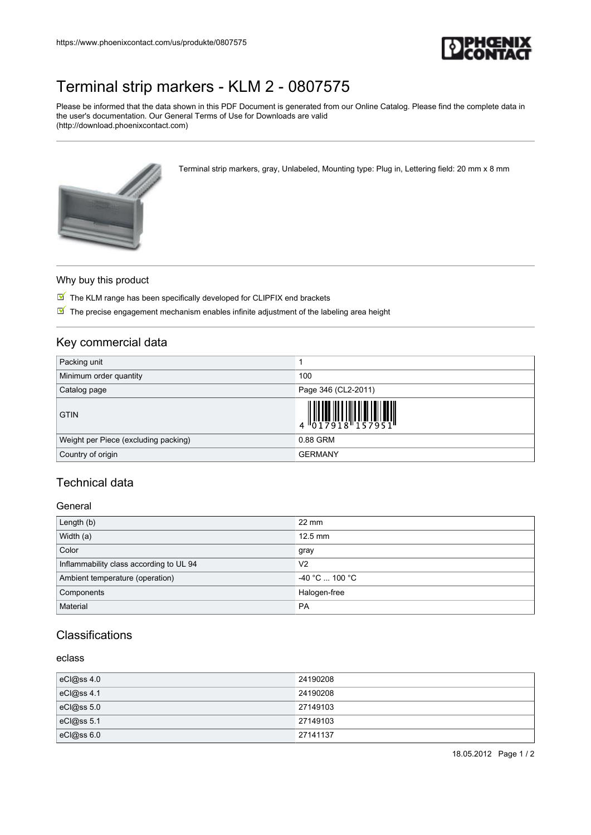

# [Terminal strip markers - KLM 2 - 0807575](https://www.phoenixcontact.com/us/produkte/0807575)

Please be informed that the data shown in this PDF Document is generated from our Online Catalog. Please find the complete data in the user's documentation. Our General Terms of Use for Downloads are valid (http://download.phoenixcontact.com)

Terminal strip markers, gray, Unlabeled, Mounting type: Plug in, Lettering field: 20 mm x 8 mm



#### Why buy this product

 $\boxed{\blacksquare}$  The KLM range has been specifically developed for CLIPFIX end brackets

The precise engagement mechanism enables infinite adjustment of the labeling area height

## Key commercial data

| Packing unit                         |                                                                                                                                                                                                                                                                                                                                                                                                                                                                                                                                                                                       |
|--------------------------------------|---------------------------------------------------------------------------------------------------------------------------------------------------------------------------------------------------------------------------------------------------------------------------------------------------------------------------------------------------------------------------------------------------------------------------------------------------------------------------------------------------------------------------------------------------------------------------------------|
| Minimum order quantity               | 100                                                                                                                                                                                                                                                                                                                                                                                                                                                                                                                                                                                   |
| Catalog page                         | Page 346 (CL2-2011)                                                                                                                                                                                                                                                                                                                                                                                                                                                                                                                                                                   |
| <b>GTIN</b>                          | $\begin{array}{c} \begin{array}{c} \begin{array}{c} \begin{array}{c} \end{array}\\ \begin{array}{c} \end{array}\\ \begin{array}{c} \end{array}\\ \begin{array}{c} \end{array}\\ \begin{array}{c} \end{array}\\ \begin{array}{c} \end{array}\\ \begin{array}{c} \end{array}\\ \begin{array}{c} \end{array}\\ \begin{array}{c} \end{array}\\ \begin{array}{c} \end{array}\\ \begin{array}{c} \end{array}\\ \begin{array}{c} \end{array}\\ \begin{array}{c} \end{array}\\ \begin{array}{c} \end{array}\\ \begin{array}{c} \end{array}\\ \begin{array}{c} \end{array}\\ \begin{array}{c}$ |
| Weight per Piece (excluding packing) | 0.88 GRM                                                                                                                                                                                                                                                                                                                                                                                                                                                                                                                                                                              |
| Country of origin                    | <b>GERMANY</b>                                                                                                                                                                                                                                                                                                                                                                                                                                                                                                                                                                        |

# Technical data

#### General

| Length (b)                              | $22 \text{ mm}$          |
|-----------------------------------------|--------------------------|
| Width (a)                               | $12.5$ mm                |
| Color                                   | gray                     |
| Inflammability class according to UL 94 | V <sub>2</sub>           |
| Ambient temperature (operation)         | $-40$ °C $\ldots$ 100 °C |
| Components                              | Halogen-free             |
| Material                                | <b>PA</b>                |

## **Classifications**

## eclass

| eCl@ss 4.0 | 24190208 |
|------------|----------|
| eCl@ss 4.1 | 24190208 |
| eCl@ss5.0  | 27149103 |
| eCl@ss 5.1 | 27149103 |
| eC @ss6.0  | 27141137 |